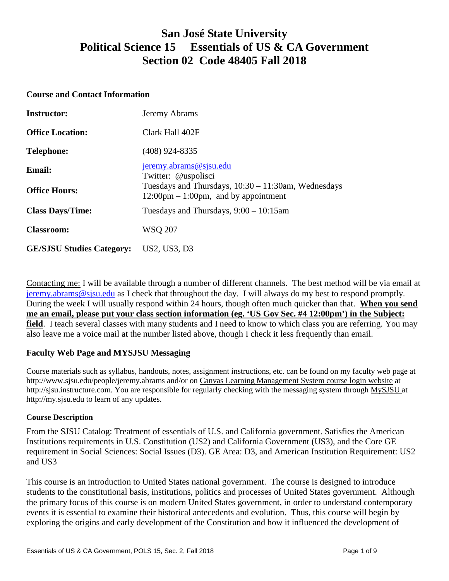# **San José State University Political Science 15 Essentials of US & CA Government Section 02 Code 48405 Fall 2018**

#### **Course and Contact Information**

| <b>Instructor:</b>               | Jeremy Abrams                                                                                                     |
|----------------------------------|-------------------------------------------------------------------------------------------------------------------|
| <b>Office Location:</b>          | Clark Hall 402F                                                                                                   |
| <b>Telephone:</b>                | (408) 924-8335                                                                                                    |
| <b>Email:</b>                    | jeremy.abrams@sjsu.edu<br>Twitter: @uspolisci                                                                     |
| <b>Office Hours:</b>             | Tuesdays and Thursdays, $10:30 - 11:30$ am, Wednesdays<br>$12:00 \text{pm} - 1:00 \text{pm}$ , and by appointment |
| <b>Class Days/Time:</b>          | Tuesdays and Thursdays, $9:00 - 10:15$ am                                                                         |
| <b>Classroom:</b>                | <b>WSO 207</b>                                                                                                    |
| <b>GE/SJSU Studies Category:</b> | US2, US3, D3                                                                                                      |

Contacting me: I will be available through a number of different channels. The best method will be via email at [jeremy.abrams@sjsu.edu](mailto:jeremy.abrams@sjsu.edu) as I check that throughout the day. I will always do my best to respond promptly. During the week I will usually respond within 24 hours, though often much quicker than that. **When you send me an email, please put your class section information (eg. 'US Gov Sec. #4 12:00pm') in the Subject: field**. I teach several classes with many students and I need to know to which class you are referring. You may also leave me a voice mail at the number listed above, though I check it less frequently than email.

#### **Faculty Web Page and MYSJSU Messaging**

Course materials such as syllabus, handouts, notes, assignment instructions, etc. can be found on my faculty web page at http://www.sjsu.edu/people/jeremy.abrams and/or on Canvas Learning Management System course login website at http://sjsu.instructure.com. You are responsible for regularly checking with the messaging system through [MySJSU a](http://my.sjsu.edu/)t http://my.sjsu.edu to learn of any updates.

#### **Course Description**

From the SJSU Catalog: Treatment of essentials of U.S. and California government. Satisfies the American Institutions requirements in U.S. Constitution (US2) and California Government (US3), and the Core GE requirement in Social Sciences: Social Issues (D3). GE Area: D3, and American Institution Requirement: US2 and US3

This course is an introduction to United States national government. The course is designed to introduce students to the constitutional basis, institutions, politics and processes of United States government. Although the primary focus of this course is on modern United States government, in order to understand contemporary events it is essential to examine their historical antecedents and evolution. Thus, this course will begin by exploring the origins and early development of the Constitution and how it influenced the development of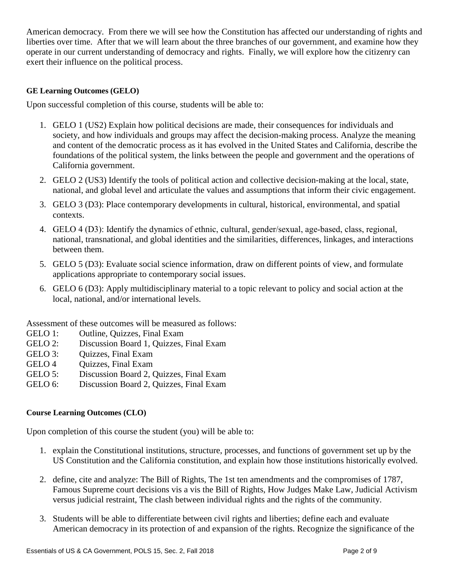American democracy. From there we will see how the Constitution has affected our understanding of rights and liberties over time. After that we will learn about the three branches of our government, and examine how they operate in our current understanding of democracy and rights. Finally, we will explore how the citizenry can exert their influence on the political process.

### **GE Learning Outcomes (GELO)**

Upon successful completion of this course, students will be able to:

- 1. GELO 1 (US2) Explain how political decisions are made, their consequences for individuals and society, and how individuals and groups may affect the decision-making process. Analyze the meaning and content of the democratic process as it has evolved in the United States and California, describe the foundations of the political system, the links between the people and government and the operations of California government.
- 2. GELO 2 (US3) Identify the tools of political action and collective decision-making at the local, state, national, and global level and articulate the values and assumptions that inform their civic engagement.
- 3. GELO 3 (D3): Place contemporary developments in cultural, historical, environmental, and spatial contexts.
- 4. GELO 4 (D3): Identify the dynamics of ethnic, cultural, gender/sexual, age-based, class, regional, national, transnational, and global identities and the similarities, differences, linkages, and interactions between them.
- 5. GELO 5 (D3): Evaluate social science information, draw on different points of view, and formulate applications appropriate to contemporary social issues.
- 6. GELO 6 (D3): Apply multidisciplinary material to a topic relevant to policy and social action at the local, national, and/or international levels.

Assessment of these outcomes will be measured as follows:

- GELO 1: Outline, Quizzes, Final Exam
- GELO 2: Discussion Board 1, Quizzes, Final Exam
- GELO 3: Ouizzes, Final Exam
- GELO 4 Ouizzes, Final Exam
- GELO 5: Discussion Board 2, Quizzes, Final Exam
- GELO 6: Discussion Board 2, Quizzes, Final Exam

#### **Course Learning Outcomes (CLO)**

Upon completion of this course the student (you) will be able to:

- 1. explain the Constitutional institutions, structure, processes, and functions of government set up by the US Constitution and the California constitution, and explain how those institutions historically evolved.
- 2. define, cite and analyze: The Bill of Rights, The 1st ten amendments and the compromises of 1787, Famous Supreme court decisions vis a vis the Bill of Rights, How Judges Make Law, Judicial Activism versus judicial restraint, The clash between individual rights and the rights of the community.
- 3. Students will be able to differentiate between civil rights and liberties; define each and evaluate American democracy in its protection of and expansion of the rights. Recognize the significance of the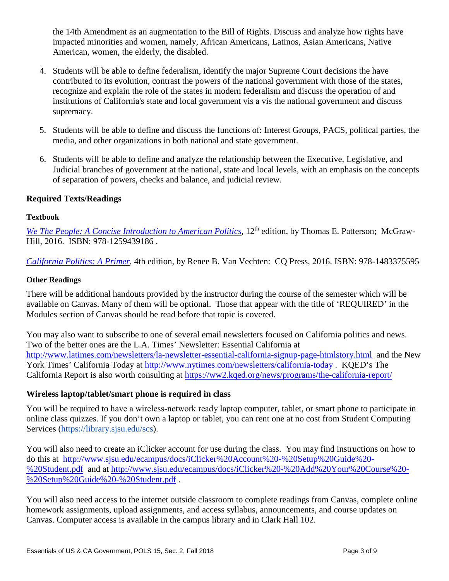the 14th Amendment as an augmentation to the Bill of Rights. Discuss and analyze how rights have impacted minorities and women, namely, African Americans, Latinos, Asian Americans, Native American, women, the elderly, the disabled.

- 4. Students will be able to define federalism, identify the major Supreme Court decisions the have contributed to its evolution, contrast the powers of the national government with those of the states, recognize and explain the role of the states in modern federalism and discuss the operation of and institutions of California's state and local government vis a vis the national government and discuss supremacy.
- 5. Students will be able to define and discuss the functions of: Interest Groups, PACS, political parties, the media, and other organizations in both national and state government.
- 6. Students will be able to define and analyze the relationship between the Executive, Legislative, and Judicial branches of government at the national, state and local levels, with an emphasis on the concepts of separation of powers, checks and balance, and judicial review.

### **Required Texts/Readings**

#### **Textbook**

*[We The People: A Concise Introduction to American Politics](https://www.amazon.com/We-People-Introduction-American-Government/dp/1259439186)*, 12<sup>th</sup> edition, by Thomas E. Patterson; McGraw-Hill, 2016. ISBN: 978-1259439186 .

*[California Politics: A Primer,](https://www.amazon.com/California-Politics-Renee-Van-Vechten/dp/1483375595)* 4th edition, by Renee B. Van Vechten: CQ Press, 2016. ISBN: 978-1483375595

#### **Other Readings**

There will be additional handouts provided by the instructor during the course of the semester which will be available on Canvas. Many of them will be optional. Those that appear with the title of 'REQUIRED' in the Modules section of Canvas should be read before that topic is covered.

You may also want to subscribe to one of several email newsletters focused on California politics and news. Two of the better ones are the L.A. Times' Newsletter: Essential California at <http://www.latimes.com/newsletters/la-newsletter-essential-california-signup-page-htmlstory.html>and the New York Times' California Today at<http://www.nytimes.com/newsletters/california-today> . KQED's The California Report is also worth consulting at<https://ww2.kqed.org/news/programs/the-california-report/>

#### **Wireless laptop/tablet/smart phone is required in class**

You will be required to have a wireless-network ready laptop computer, tablet, or smart phone to participate in online class quizzes. If you don't own a laptop or tablet, you can rent one at no cost from Student Computing Services (https://library.sjsu.edu/scs).

You will also need to create an iClicker account for use during the class. You may find instructions on how to do this at [http://www.sjsu.edu/ecampus/docs/iClicker%20Account%20-%20Setup%20Guide%20-](http://www.sjsu.edu/ecampus/docs/iClicker%20Account%20-%20Setup%20Guide%20-%20Student.pdf) [%20Student.pdf](http://www.sjsu.edu/ecampus/docs/iClicker%20Account%20-%20Setup%20Guide%20-%20Student.pdf) and at [http://www.sjsu.edu/ecampus/docs/iClicker%20-%20Add%20Your%20Course%20-](http://www.sjsu.edu/ecampus/docs/iClicker%20-%20Add%20Your%20Course%20-%20Setup%20Guide%20-%20Student.pdf) [%20Setup%20Guide%20-%20Student.pdf](http://www.sjsu.edu/ecampus/docs/iClicker%20-%20Add%20Your%20Course%20-%20Setup%20Guide%20-%20Student.pdf) .

You will also need access to the internet outside classroom to complete readings from Canvas, complete online homework assignments, upload assignments, and access syllabus, announcements, and course updates on Canvas. Computer access is available in the campus library and in Clark Hall 102.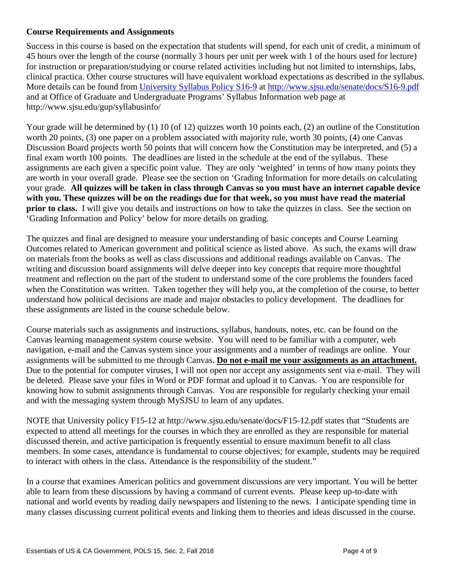## **Course Requirements and Assignments**

Success in this course is based on the expectation that students will spend, for each unit of credit, a minimum of 45 hours over the length of the course (normally 3 hours per unit per week with 1 of the hours used for lecture) for instruction or preparation/studying or course related activities including but not limited to internships, labs, clinical practica. Other course structures will have equivalent workload expectations as described in the syllabus. More details can be found from [University Syllabus Policy S16-9](http://www.sjsu.edu/senate/docs/S16-9.pdf) at<http://www.sjsu.edu/senate/docs/S16-9.pdf> and at Office of Graduate and Undergraduate Programs' Syllabus Information web page at http://www.sjsu.edu/gup/syllabusinfo/

Your grade will be determined by (1) 10 (of 12) quizzes worth 10 points each, (2) an outline of the Constitution worth 20 points, (3) one paper on a problem associated with majority rule, worth 30 points, (4) one Canvas Discussion Board projects worth 50 points that will concern how the Constitution may be interpreted, and (5) a final exam worth 100 points. The deadlines are listed in the schedule at the end of the syllabus. These assignments are each given a specific point value. They are only 'weighted' in terms of how many points they are worth in your overall grade. Please see the section on 'Grading Information for more details on calculating your grade. **All quizzes will be taken in class through Canvas so you must have an internet capable device with you. These quizzes will be on the readings due for that week, so you must have read the material prior to class.** I will give you details and instructions on how to take the quizzes in class. See the section on 'Grading Information and Policy' below for more details on grading.

The quizzes and final are designed to measure your understanding of basic concepts and Course Learning Outcomes related to American government and political science as listed above. As such, the exams will draw on materials from the books as well as class discussions and additional readings available on Canvas. The writing and discussion board assignments will delve deeper into key concepts that require more thoughtful treatment and reflection on the part of the student to understand some of the core problems the founders faced when the Constitution was written. Taken together they will help you, at the completion of the course, to better understand how political decisions are made and major obstacles to policy development. The deadlines for these assignments are listed in the course schedule below.

Course materials such as assignments and instructions, syllabus, handouts, notes, etc. can be found on the Canvas learning management system course website. You will need to be familiar with a computer, web navigation, e-mail and the Canvas system since your assignments and a number of readings are online. Your assignments will be submitted to me through Canvas. **Do not e-mail me your assignments as an attachment.** Due to the potential for computer viruses, I will not open nor accept any assignments sent via e-mail. They will be deleted. Please save your files in Word or PDF format and upload it to Canvas. You are responsible for knowing how to submit assignments through Canvas. You are responsible for regularly checking your email and with the messaging system through MySJSU to learn of any updates.

NOTE that University policy F15-12 at http://www.sjsu.edu/senate/docs/F15-12.pdf states that "Students are expected to attend all meetings for the courses in which they are enrolled as they are responsible for material discussed therein, and active participation is frequently essential to ensure maximum benefit to all class members. In some cases, attendance is fundamental to course objectives; for example, students may be required to interact with others in the class. Attendance is the responsibility of the student."

In a course that examines American politics and government discussions are very important. You will be better able to learn from these discussions by having a command of current events. Please keep up-to-date with national and world events by reading daily newspapers and listening to the news. I anticipate spending time in many classes discussing current political events and linking them to theories and ideas discussed in the course.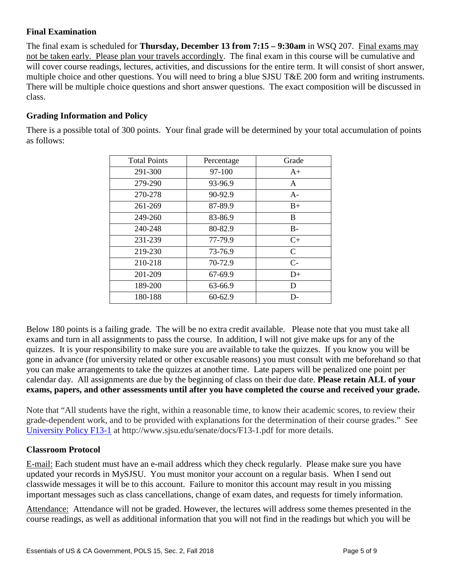## **Final Examination**

The final exam is scheduled for **Thursday, December 13 from 7:15 – 9:30am** in WSQ 207. Final exams may not be taken early. Please plan your travels accordingly. The final exam in this course will be cumulative and will cover course readings, lectures, activities, and discussions for the entire term. It will consist of short answer, multiple choice and other questions. You will need to bring a blue SJSU T&E 200 form and writing instruments. There will be multiple choice questions and short answer questions. The exact composition will be discussed in class.

# **Grading Information and Policy**

There is a possible total of 300 points. Your final grade will be determined by your total accumulation of points as follows:

| <b>Total Points</b> | Percentage | Grade        |
|---------------------|------------|--------------|
| 291-300             | 97-100     | $A+$         |
| 279-290             | 93-96.9    | A            |
| 270-278             | 90-92.9    | $A-$         |
| 261-269             | 87-89.9    | $B+$         |
| 249-260             | 83-86.9    | B            |
| 240-248             | 80-82.9    | $B -$        |
| 231-239             | 77-79.9    | $C+$         |
| 219-230             | 73-76.9    | $\mathsf{C}$ |
| 210-218             | 70-72.9    | $C-$         |
| 201-209             | 67-69.9    | $D+$         |
| 189-200             | 63-66.9    | D            |
| 180-188             | $60-62.9$  | D-           |

Below 180 points is a failing grade. The will be no extra credit available. Please note that you must take all exams and turn in all assignments to pass the course. In addition, I will not give make ups for any of the quizzes. It is your responsibility to make sure you are available to take the quizzes. If you know you will be gone in advance (for university related or other excusable reasons) you must consult with me beforehand so that you can make arrangements to take the quizzes at another time. Late papers will be penalized one point per calendar day. All assignments are due by the beginning of class on their due date. **Please retain ALL of your exams, papers, and other assessments until after you have completed the course and received your grade.**

Note that "All students have the right, within a reasonable time, to know their academic scores, to review their grade-dependent work, and to be provided with explanations for the determination of their course grades." See [University Policy F13-1](http://www.sjsu.edu/senate/docs/F13-1.pdf) at http://www.sjsu.edu/senate/docs/F13-1.pdf for more details.

## **Classroom Protocol**

E-mail: Each student must have an e-mail address which they check regularly. Please make sure you have updated your records in MySJSU. You must monitor your account on a regular basis. When I send out classwide messages it will be to this account. Failure to monitor this account may result in you missing important messages such as class cancellations, change of exam dates, and requests for timely information.

Attendance: Attendance will not be graded. However, the lectures will address some themes presented in the course readings, as well as additional information that you will not find in the readings but which you will be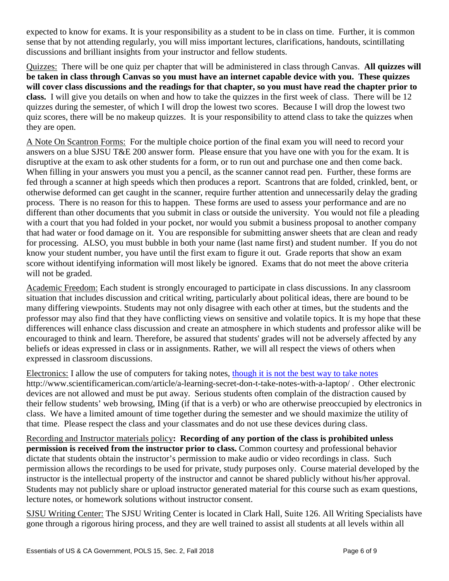expected to know for exams. It is your responsibility as a student to be in class on time. Further, it is common sense that by not attending regularly, you will miss important lectures, clarifications, handouts, scintillating discussions and brilliant insights from your instructor and fellow students.

Quizzes: There will be one quiz per chapter that will be administered in class through Canvas. **All quizzes will be taken in class through Canvas so you must have an internet capable device with you. These quizzes will cover class discussions and the readings for that chapter, so you must have read the chapter prior to class.** I will give you details on when and how to take the quizzes in the first week of class. There will be 12 quizzes during the semester, of which I will drop the lowest two scores. Because I will drop the lowest two quiz scores, there will be no makeup quizzes. It is your responsibility to attend class to take the quizzes when they are open.

A Note On Scantron Forms: For the multiple choice portion of the final exam you will need to record your answers on a blue SJSU T&E 200 answer form. Please ensure that you have one with you for the exam. It is disruptive at the exam to ask other students for a form, or to run out and purchase one and then come back. When filling in your answers you must you a pencil, as the scanner cannot read pen. Further, these forms are fed through a scanner at high speeds which then produces a report. Scantrons that are folded, crinkled, bent, or otherwise deformed can get caught in the scanner, require further attention and unnecessarily delay the grading process. There is no reason for this to happen. These forms are used to assess your performance and are no different than other documents that you submit in class or outside the university. You would not file a pleading with a court that you had folded in your pocket, nor would you submit a business proposal to another company that had water or food damage on it. You are responsible for submitting answer sheets that are clean and ready for processing. ALSO, you must bubble in both your name (last name first) and student number. If you do not know your student number, you have until the first exam to figure it out. Grade reports that show an exam score without identifying information will most likely be ignored. Exams that do not meet the above criteria will not be graded.

Academic Freedom: Each student is strongly encouraged to participate in class discussions. In any classroom situation that includes discussion and critical writing, particularly about political ideas, there are bound to be many differing viewpoints. Students may not only disagree with each other at times, but the students and the professor may also find that they have conflicting views on sensitive and volatile topics. It is my hope that these differences will enhance class discussion and create an atmosphere in which students and professor alike will be encouraged to think and learn. Therefore, be assured that students' grades will not be adversely affected by any beliefs or ideas expressed in class or in assignments. Rather, we will all respect the views of others when expressed in classroom discussions.

Electronics: I allow the use of computers for taking notes, [though it is not the best way to take notes](http://www.scientificamerican.com/article/a-learning-secret-don-t-take-notes-with-a-laptop/)  http://www.scientificamerican.com/article/a-learning-secret-don-t-take-notes-with-a-laptop/ . Other electronic devices are not allowed and must be put away. Serious students often complain of the distraction caused by their fellow students' web browsing, IMing (if that is a verb) or who are otherwise preoccupied by electronics in class. We have a limited amount of time together during the semester and we should maximize the utility of that time. Please respect the class and your classmates and do not use these devices during class.

Recording and Instructor materials policy**: Recording of any portion of the class is prohibited unless permission is received from the instructor prior to class.** Common courtesy and professional behavior dictate that students obtain the instructor's permission to make audio or video recordings in class. Such permission allows the recordings to be used for private, study purposes only. Course material developed by the instructor is the intellectual property of the instructor and cannot be shared publicly without his/her approval. Students may not publicly share or upload instructor generated material for this course such as exam questions, lecture notes, or homework solutions without instructor consent.

SJSU Writing Center: The SJSU Writing Center is located in Clark Hall, Suite 126. All Writing Specialists have gone through a rigorous hiring process, and they are well trained to assist all students at all levels within all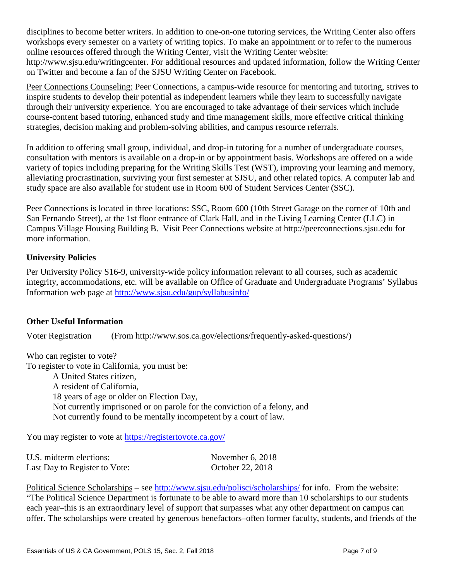disciplines to become better writers. In addition to one-on-one tutoring services, the Writing Center also offers workshops every semester on a variety of writing topics. To make an appointment or to refer to the numerous online resources offered through the Writing Center, visit the Writing Center website: http://www.sjsu.edu/writingcenter. For additional resources and updated information, follow the Writing Center on Twitter and become a fan of the SJSU Writing Center on Facebook.

Peer Connections Counseling: Peer Connections, a campus-wide resource for mentoring and tutoring, strives to inspire students to develop their potential as independent learners while they learn to successfully navigate through their university experience. You are encouraged to take advantage of their services which include course-content based tutoring, enhanced study and time management skills, more effective critical thinking strategies, decision making and problem-solving abilities, and campus resource referrals.

In addition to offering small group, individual, and drop-in tutoring for a number of undergraduate courses, consultation with mentors is available on a drop-in or by appointment basis. Workshops are offered on a wide variety of topics including preparing for the Writing Skills Test (WST), improving your learning and memory, alleviating procrastination, surviving your first semester at SJSU, and other related topics. A computer lab and study space are also available for student use in Room 600 of Student Services Center (SSC).

Peer Connections is located in three locations: SSC, Room 600 (10th Street Garage on the corner of 10th and San Fernando Street), at the 1st floor entrance of Clark Hall, and in the Living Learning Center (LLC) in Campus Village Housing Building B. Visit Peer Connections website at http://peerconnections.sjsu.edu for more information.

## **University Policies**

Per University Policy S16-9, university-wide policy information relevant to all courses, such as academic integrity, accommodations, etc. will be available on Office of Graduate and Undergraduate Programs' Syllabus Information web page at<http://www.sjsu.edu/gup/syllabusinfo/>

## **Other Useful Information**

Voter Registration (From http://www.sos.ca.gov/elections/frequently-asked-questions/)

Who can register to vote?

To register to vote in California, you must be: A United States citizen,

A resident of California, 18 years of age or older on Election Day, Not currently imprisoned or on parole for the conviction of a felony, and Not currently found to be mentally incompetent by a court of law.

You may register to vote at<https://registertovote.ca.gov/>

| U.S. midterm elections:       | November $6, 2018$ |
|-------------------------------|--------------------|
| Last Day to Register to Vote: | October 22, 2018   |

Political Science Scholarships – see<http://www.sjsu.edu/polisci/scholarships/> for info. From the website: "The Political Science Department is fortunate to be able to award more than 10 scholarships to our students each year–this is an extraordinary level of support that surpasses what any other department on campus can offer. The scholarships were created by generous benefactors–often former faculty, students, and friends of the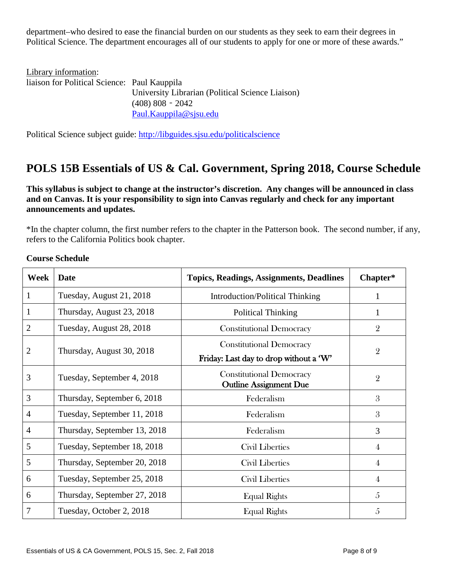department–who desired to ease the financial burden on our students as they seek to earn their degrees in Political Science. The department encourages all of our students to apply for one or more of these awards."

| Library information:                         |                                                  |
|----------------------------------------------|--------------------------------------------------|
| liaison for Political Science: Paul Kauppila |                                                  |
|                                              | University Librarian (Political Science Liaison) |
|                                              | $(408)$ 808 - 2042                               |
|                                              | Paul.Kauppila@sjsu.edu                           |

Political Science subject guide: <http://libguides.sjsu.edu/politicalscience>

# **POLS 15B Essentials of US & Cal. Government, Spring 2018, Course Schedule**

**This syllabus is subject to change at the instructor's discretion. Any changes will be announced in class and on Canvas. It is your responsibility to sign into Canvas regularly and check for any important announcements and updates.**

\*In the chapter column, the first number refers to the chapter in the Patterson book. The second number, if any, refers to the California Politics book chapter.

|  | <b>Course Schedule</b> |
|--|------------------------|
|--|------------------------|

| Week           | <b>Date</b>                  | <b>Topics, Readings, Assignments, Deadlines</b>                           | Chapter*       |
|----------------|------------------------------|---------------------------------------------------------------------------|----------------|
| 1              | Tuesday, August 21, 2018     | <b>Introduction/Political Thinking</b>                                    | 1              |
| 1              | Thursday, August 23, 2018    | <b>Political Thinking</b>                                                 |                |
| 2              | Tuesday, August 28, 2018     | <b>Constitutional Democracy</b>                                           | $\overline{2}$ |
| 2              | Thursday, August 30, 2018    | <b>Constitutional Democracy</b><br>Friday: Last day to drop without a 'W' | $\overline{2}$ |
| 3              | Tuesday, September 4, 2018   | <b>Constitutional Democracy</b><br><b>Outline Assignment Due</b>          | $\overline{2}$ |
| 3              | Thursday, September 6, 2018  | Federalism                                                                | 3              |
| $\overline{4}$ | Tuesday, September 11, 2018  | Federalism                                                                | 3              |
| 4              | Thursday, September 13, 2018 | Federalism                                                                | 3              |
| 5              | Tuesday, September 18, 2018  | Civil Liberties                                                           | 4              |
| 5              | Thursday, September 20, 2018 | <b>Civil Liberties</b>                                                    | 4              |
| 6              | Tuesday, September 25, 2018  | Civil Liberties                                                           | 4              |
| 6              | Thursday, September 27, 2018 | <b>Equal Rights</b>                                                       | 5              |
| 7              | Tuesday, October 2, 2018     | <b>Equal Rights</b>                                                       | 5              |